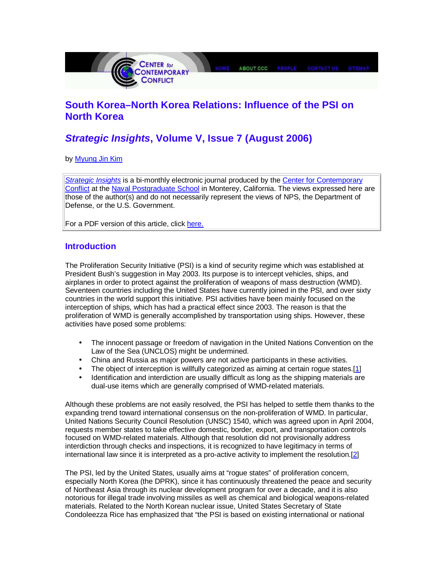

# **South Korea–North Korea Relations: Influence of the PSI on North Korea**

# **Strategic Insights, Volume V, Issue 7 (August 2006)**

by Myung Jin Kim

Strategic Insights is a bi-monthly electronic journal produced by the Center for Contemporary Conflict at the Naval Postgraduate School in Monterey, California. The views expressed here are those of the author(s) and do not necessarily represent the views of NPS, the Department of Defense, or the U.S. Government.

For a PDF version of this article, click here.

# **Introduction**

The Proliferation Security Initiative (PSI) is a kind of security regime which was established at President Bush's suggestion in May 2003. Its purpose is to intercept vehicles, ships, and airplanes in order to protect against the proliferation of weapons of mass destruction (WMD). Seventeen countries including the United States have currently joined in the PSI, and over sixty countries in the world support this initiative. PSI activities have been mainly focused on the interception of ships, which has had a practical effect since 2003. The reason is that the proliferation of WMD is generally accomplished by transportation using ships. However, these activities have posed some problems:

- The innocent passage or freedom of navigation in the United Nations Convention on the Law of the Sea (UNCLOS) might be undermined.
- China and Russia as major powers are not active participants in these activities.
- The object of interception is willfully categorized as aiming at certain roque states.[1]
- Identification and interdiction are usually difficult as long as the shipping materials are dual-use items which are generally comprised of WMD-related materials.

Although these problems are not easily resolved, the PSI has helped to settle them thanks to the expanding trend toward international consensus on the non-proliferation of WMD. In particular, United Nations Security Council Resolution (UNSC) 1540, which was agreed upon in April 2004, requests member states to take effective domestic, border, export, and transportation controls focused on WMD-related materials. Although that resolution did not provisionally address interdiction through checks and inspections, it is recognized to have legitimacy in terms of international law since it is interpreted as a pro-active activity to implement the resolution.[2]

The PSI, led by the United States, usually aims at "rogue states" of proliferation concern, especially North Korea (the DPRK), since it has continuously threatened the peace and security of Northeast Asia through its nuclear development program for over a decade, and it is also notorious for illegal trade involving missiles as well as chemical and biological weapons-related materials. Related to the North Korean nuclear issue, United States Secretary of State Condoleezza Rice has emphasized that "the PSI is based on existing international or national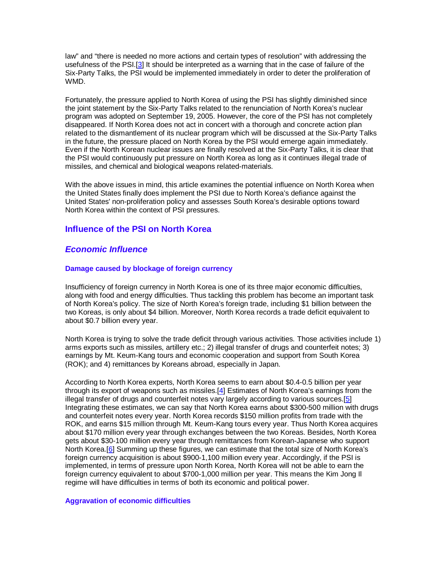law" and "there is needed no more actions and certain types of resolution" with addressing the usefulness of the PSI.[3] It should be interpreted as a warning that in the case of failure of the Six-Party Talks, the PSI would be implemented immediately in order to deter the proliferation of WMD.

Fortunately, the pressure applied to North Korea of using the PSI has slightly diminished since the joint statement by the Six-Party Talks related to the renunciation of North Korea's nuclear program was adopted on September 19, 2005. However, the core of the PSI has not completely disappeared. If North Korea does not act in concert with a thorough and concrete action plan related to the dismantlement of its nuclear program which will be discussed at the Six-Party Talks in the future, the pressure placed on North Korea by the PSI would emerge again immediately. Even if the North Korean nuclear issues are finally resolved at the Six-Party Talks, it is clear that the PSI would continuously put pressure on North Korea as long as it continues illegal trade of missiles, and chemical and biological weapons related-materials.

With the above issues in mind, this article examines the potential influence on North Korea when the United States finally does implement the PSI due to North Korea's defiance against the United States' non-proliferation policy and assesses South Korea's desirable options toward North Korea within the context of PSI pressures.

# **Influence of the PSI on North Korea**

# **Economic Influence**

## **Damage caused by blockage of foreign currency**

Insufficiency of foreign currency in North Korea is one of its three major economic difficulties, along with food and energy difficulties. Thus tackling this problem has become an important task of North Korea's policy. The size of North Korea's foreign trade, including \$1 billion between the two Koreas, is only about \$4 billion. Moreover, North Korea records a trade deficit equivalent to about \$0.7 billion every year.

North Korea is trying to solve the trade deficit through various activities. Those activities include 1) arms exports such as missiles, artillery etc.; 2) illegal transfer of drugs and counterfeit notes; 3) earnings by Mt. Keum-Kang tours and economic cooperation and support from South Korea (ROK); and 4) remittances by Koreans abroad, especially in Japan.

According to North Korea experts, North Korea seems to earn about \$0.4-0.5 billion per year through its export of weapons such as missiles.<sup>[4]</sup> Estimates of North Korea's earnings from the illegal transfer of drugs and counterfeit notes vary largely according to various sources.[5] Integrating these estimates, we can say that North Korea earns about \$300-500 million with drugs and counterfeit notes every year. North Korea records \$150 million profits from trade with the ROK, and earns \$15 million through Mt. Keum-Kang tours every year. Thus North Korea acquires about \$170 million every year through exchanges between the two Koreas. Besides, North Korea gets about \$30-100 million every year through remittances from Korean-Japanese who support North Korea.[6] Summing up these figures, we can estimate that the total size of North Korea's foreign currency acquisition is about \$900-1,100 million every year. Accordingly, if the PSI is implemented, in terms of pressure upon North Korea, North Korea will not be able to earn the foreign currency equivalent to about \$700-1,000 million per year. This means the Kim Jong Il regime will have difficulties in terms of both its economic and political power.

## **Aggravation of economic difficulties**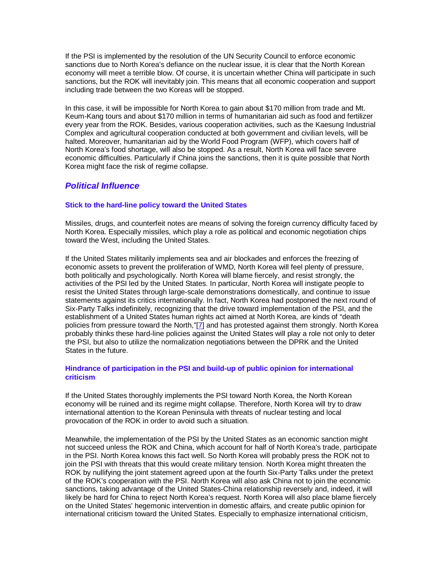If the PSI is implemented by the resolution of the UN Security Council to enforce economic sanctions due to North Korea's defiance on the nuclear issue, it is clear that the North Korean economy will meet a terrible blow. Of course, it is uncertain whether China will participate in such sanctions, but the ROK will inevitably join. This means that all economic cooperation and support including trade between the two Koreas will be stopped.

In this case, it will be impossible for North Korea to gain about \$170 million from trade and Mt. Keum-Kang tours and about \$170 million in terms of humanitarian aid such as food and fertilizer every year from the ROK. Besides, various cooperation activities, such as the Kaesung Industrial Complex and agricultural cooperation conducted at both government and civilian levels, will be halted. Moreover, humanitarian aid by the World Food Program (WFP), which covers half of North Korea's food shortage, will also be stopped. As a result, North Korea will face severe economic difficulties. Particularly if China joins the sanctions, then it is quite possible that North Korea might face the risk of regime collapse.

# **Political Influence**

## **Stick to the hard-line policy toward the United States**

Missiles, drugs, and counterfeit notes are means of solving the foreign currency difficulty faced by North Korea. Especially missiles, which play a role as political and economic negotiation chips toward the West, including the United States.

If the United States militarily implements sea and air blockades and enforces the freezing of economic assets to prevent the proliferation of WMD, North Korea will feel plenty of pressure, both politically and psychologically. North Korea will blame fiercely, and resist strongly, the activities of the PSI led by the United States. In particular, North Korea will instigate people to resist the United States through large-scale demonstrations domestically, and continue to issue statements against its critics internationally. In fact, North Korea had postponed the next round of Six-Party Talks indefinitely, recognizing that the drive toward implementation of the PSI, and the establishment of a United States human rights act aimed at North Korea, are kinds of "death policies from pressure toward the North,"[7] and has protested against them strongly. North Korea probably thinks these hard-line policies against the United States will play a role not only to deter the PSI, but also to utilize the normalization negotiations between the DPRK and the United States in the future.

## **Hindrance of participation in the PSI and build-up of public opinion for international criticism**

If the United States thoroughly implements the PSI toward North Korea, the North Korean economy will be ruined and its regime might collapse. Therefore, North Korea will try to draw international attention to the Korean Peninsula with threats of nuclear testing and local provocation of the ROK in order to avoid such a situation.

Meanwhile, the implementation of the PSI by the United States as an economic sanction might not succeed unless the ROK and China, which account for half of North Korea's trade, participate in the PSI. North Korea knows this fact well. So North Korea will probably press the ROK not to join the PSI with threats that this would create military tension. North Korea might threaten the ROK by nullifying the joint statement agreed upon at the fourth Six-Party Talks under the pretext of the ROK's cooperation with the PSI. North Korea will also ask China not to join the economic sanctions, taking advantage of the United States-China relationship reversely and, indeed, it will likely be hard for China to reject North Korea's request. North Korea will also place blame fiercely on the United States' hegemonic intervention in domestic affairs, and create public opinion for international criticism toward the United States. Especially to emphasize international criticism,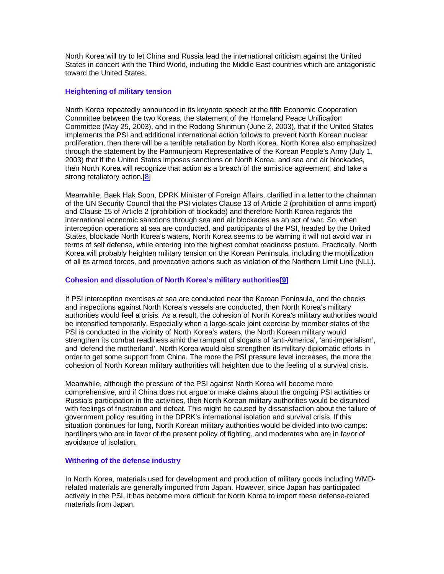North Korea will try to let China and Russia lead the international criticism against the United States in concert with the Third World, including the Middle East countries which are antagonistic toward the United States.

## **Heightening of military tension**

North Korea repeatedly announced in its keynote speech at the fifth Economic Cooperation Committee between the two Koreas, the statement of the Homeland Peace Unification Committee (May 25, 2003), and in the Rodong Shinmun (June 2, 2003), that if the United States implements the PSI and additional international action follows to prevent North Korean nuclear proliferation, then there will be a terrible retaliation by North Korea. North Korea also emphasized through the statement by the Panmunjeom Representative of the Korean People's Army (July 1, 2003) that if the United States imposes sanctions on North Korea, and sea and air blockades, then North Korea will recognize that action as a breach of the armistice agreement, and take a strong retaliatory action.[8]

Meanwhile, Baek Hak Soon, DPRK Minister of Foreign Affairs, clarified in a letter to the chairman of the UN Security Council that the PSI violates Clause 13 of Article 2 (prohibition of arms import) and Clause 15 of Article 2 (prohibition of blockade) and therefore North Korea regards the international economic sanctions through sea and air blockades as an act of war. So, when interception operations at sea are conducted, and participants of the PSI, headed by the United States, blockade North Korea's waters, North Korea seems to be warning it will not avoid war in terms of self defense, while entering into the highest combat readiness posture. Practically, North Korea will probably heighten military tension on the Korean Peninsula, including the mobilization of all its armed forces, and provocative actions such as violation of the Northern Limit Line (NLL).

## **Cohesion and dissolution of North Korea's military authorities[9]**

If PSI interception exercises at sea are conducted near the Korean Peninsula, and the checks and inspections against North Korea's vessels are conducted, then North Korea's military authorities would feel a crisis. As a result, the cohesion of North Korea's military authorities would be intensified temporarily. Especially when a large-scale joint exercise by member states of the PSI is conducted in the vicinity of North Korea's waters, the North Korean military would strengthen its combat readiness amid the rampant of slogans of 'anti-America', 'anti-imperialism', and 'defend the motherland'. North Korea would also strengthen its military-diplomatic efforts in order to get some support from China. The more the PSI pressure level increases, the more the cohesion of North Korean military authorities will heighten due to the feeling of a survival crisis.

Meanwhile, although the pressure of the PSI against North Korea will become more comprehensive, and if China does not argue or make claims about the ongoing PSI activities or Russia's participation in the activities, then North Korean military authorities would be disunited with feelings of frustration and defeat. This might be caused by dissatisfaction about the failure of government policy resulting in the DPRK's international isolation and survival crisis. If this situation continues for long, North Korean military authorities would be divided into two camps: hardliners who are in favor of the present policy of fighting, and moderates who are in favor of avoidance of isolation.

## **Withering of the defense industry**

In North Korea, materials used for development and production of military goods including WMDrelated materials are generally imported from Japan. However, since Japan has participated actively in the PSI, it has become more difficult for North Korea to import these defense-related materials from Japan.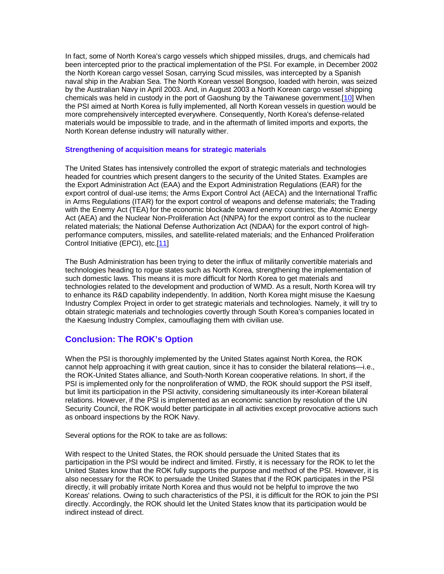In fact, some of North Korea's cargo vessels which shipped missiles, drugs, and chemicals had been intercepted prior to the practical implementation of the PSI. For example, in December 2002 the North Korean cargo vessel Sosan, carrying Scud missiles, was intercepted by a Spanish naval ship in the Arabian Sea. The North Korean vessel Bongsoo, loaded with heroin, was seized by the Australian Navy in April 2003. And, in August 2003 a North Korean cargo vessel shipping chemicals was held in custody in the port of Gaoshung by the Taiwanese government.[10] When the PSI aimed at North Korea is fully implemented, all North Korean vessels in question would be more comprehensively intercepted everywhere. Consequently, North Korea's defense-related materials would be impossible to trade, and in the aftermath of limited imports and exports, the North Korean defense industry will naturally wither.

## **Strengthening of acquisition means for strategic materials**

The United States has intensively controlled the export of strategic materials and technologies headed for countries which present dangers to the security of the United States. Examples are the Export Administration Act (EAA) and the Export Administration Regulations (EAR) for the export control of dual-use items; the Arms Export Control Act (AECA) and the International Traffic in Arms Regulations (ITAR) for the export control of weapons and defense materials; the Trading with the Enemy Act (TEA) for the economic blockade toward enemy countries; the Atomic Energy Act (AEA) and the Nuclear Non-Proliferation Act (NNPA) for the export control as to the nuclear related materials; the National Defense Authorization Act (NDAA) for the export control of highperformance computers, missiles, and satellite-related materials; and the Enhanced Proliferation Control Initiative (EPCI), etc.[11]

The Bush Administration has been trying to deter the influx of militarily convertible materials and technologies heading to rogue states such as North Korea, strengthening the implementation of such domestic laws. This means it is more difficult for North Korea to get materials and technologies related to the development and production of WMD. As a result, North Korea will try to enhance its R&D capability independently. In addition, North Korea might misuse the Kaesung Industry Complex Project in order to get strategic materials and technologies. Namely, it will try to obtain strategic materials and technologies covertly through South Korea's companies located in the Kaesung Industry Complex, camouflaging them with civilian use.

# **Conclusion: The ROK's Option**

When the PSI is thoroughly implemented by the United States against North Korea, the ROK cannot help approaching it with great caution, since it has to consider the bilateral relations—i.e., the ROK-United States alliance, and South-North Korean cooperative relations. In short, if the PSI is implemented only for the nonproliferation of WMD, the ROK should support the PSI itself, but limit its participation in the PSI activity, considering simultaneously its inter-Korean bilateral relations. However, if the PSI is implemented as an economic sanction by resolution of the UN Security Council, the ROK would better participate in all activities except provocative actions such as onboard inspections by the ROK Navy.

Several options for the ROK to take are as follows:

With respect to the United States, the ROK should persuade the United States that its participation in the PSI would be indirect and limited. Firstly, it is necessary for the ROK to let the United States know that the ROK fully supports the purpose and method of the PSI. However, it is also necessary for the ROK to persuade the United States that if the ROK participates in the PSI directly, it will probably irritate North Korea and thus would not be helpful to improve the two Koreas' relations. Owing to such characteristics of the PSI, it is difficult for the ROK to join the PSI directly. Accordingly, the ROK should let the United States know that its participation would be indirect instead of direct.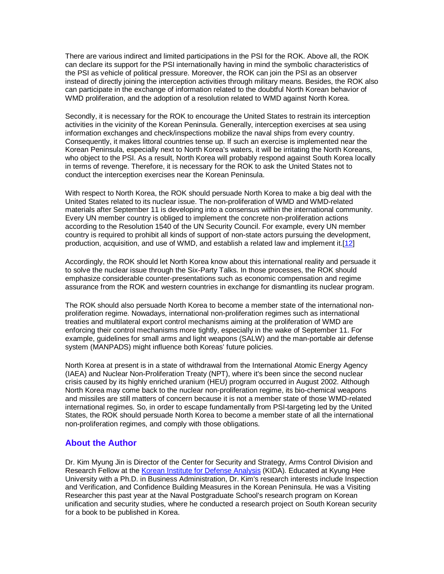There are various indirect and limited participations in the PSI for the ROK. Above all, the ROK can declare its support for the PSI internationally having in mind the symbolic characteristics of the PSI as vehicle of political pressure. Moreover, the ROK can join the PSI as an observer instead of directly joining the interception activities through military means. Besides, the ROK also can participate in the exchange of information related to the doubtful North Korean behavior of WMD proliferation, and the adoption of a resolution related to WMD against North Korea.

Secondly, it is necessary for the ROK to encourage the United States to restrain its interception activities in the vicinity of the Korean Peninsula. Generally, interception exercises at sea using information exchanges and check/inspections mobilize the naval ships from every country. Consequently, it makes littoral countries tense up. If such an exercise is implemented near the Korean Peninsula, especially next to North Korea's waters, it will be irritating the North Koreans, who object to the PSI. As a result, North Korea will probably respond against South Korea locally in terms of revenge. Therefore, it is necessary for the ROK to ask the United States not to conduct the interception exercises near the Korean Peninsula.

With respect to North Korea, the ROK should persuade North Korea to make a big deal with the United States related to its nuclear issue. The non-proliferation of WMD and WMD-related materials after September 11 is developing into a consensus within the international community. Every UN member country is obliged to implement the concrete non-proliferation actions according to the Resolution 1540 of the UN Security Council. For example, every UN member country is required to prohibit all kinds of support of non-state actors pursuing the development, production, acquisition, and use of WMD, and establish a related law and implement it.[12]

Accordingly, the ROK should let North Korea know about this international reality and persuade it to solve the nuclear issue through the Six-Party Talks. In those processes, the ROK should emphasize considerable counter-presentations such as economic compensation and regime assurance from the ROK and western countries in exchange for dismantling its nuclear program.

The ROK should also persuade North Korea to become a member state of the international nonproliferation regime. Nowadays, international non-proliferation regimes such as international treaties and multilateral export control mechanisms aiming at the proliferation of WMD are enforcing their control mechanisms more tightly, especially in the wake of September 11. For example, guidelines for small arms and light weapons (SALW) and the man-portable air defense system (MANPADS) might influence both Koreas' future policies.

North Korea at present is in a state of withdrawal from the International Atomic Energy Agency (IAEA) and Nuclear Non-Proliferation Treaty (NPT), where it's been since the second nuclear crisis caused by its highly enriched uranium (HEU) program occurred in August 2002. Although North Korea may come back to the nuclear non-proliferation regime, its bio-chemical weapons and missiles are still matters of concern because it is not a member state of those WMD-related international regimes. So, in order to escape fundamentally from PSI-targeting led by the United States, the ROK should persuade North Korea to become a member state of all the international non-proliferation regimes, and comply with those obligations.

# **About the Author**

Dr. Kim Myung Jin is Director of the Center for Security and Strategy, Arms Control Division and Research Fellow at the Korean Institute for Defense Analysis (KIDA). Educated at Kyung Hee University with a Ph.D. in Business Administration, Dr. Kim's research interests include Inspection and Verification, and Confidence Building Measures in the Korean Peninsula. He was a Visiting Researcher this past year at the Naval Postgraduate School's research program on Korean unification and security studies, where he conducted a research project on South Korean security for a book to be published in Korea.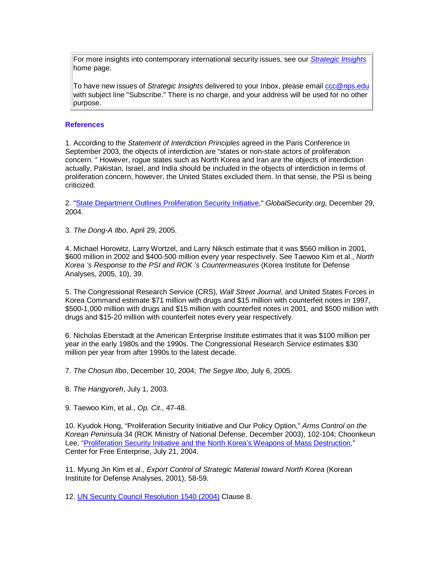For more insights into contemporary international security issues, see our *Strategic Insights* home page.

To have new issues of Strategic Insights delivered to your Inbox, please email ccc@nps.edu with subject line "Subscribe." There is no charge, and your address will be used for no other purpose.

#### **References**

1. According to the Statement of Interdiction Principles agreed in the Paris Conference in September 2003, the objects of interdiction are "states or non-state actors of proliferation concern. " However, rogue states such as North Korea and Iran are the objects of interdiction actually. Pakistan, Israel, and India should be included in the objects of interdiction in terms of proliferation concern, however, the United States excluded them. In that sense, the PSI is being criticized.

2. "State Department Outlines Proliferation Security Initiative," GlobalSecurity.org, December 29, 2004.

3. The Dong-A Ilbo, April 29, 2005.

4. Michael Horowitz, Larry Wortzel, and Larry Niksch estimate that it was \$560 million in 2001, \$600 million in 2002 and \$400-500 million every year respectively. See Taewoo Kim et al., North Korea 's Response to the PSI and ROK 's Countermeasures (Korea Institute for Defense Analyses, 2005, 10), 39.

5. The Congressional Research Service (CRS), Wall Street Journal, and United States Forces in Korea Command estimate \$71 million with drugs and \$15 million with counterfeit notes in 1997, \$500-1,000 million with drugs and \$15 million with counterfeit notes in 2001, and \$500 million with drugs and \$15-20 million with counterfeit notes every year respectively.

6. Nicholas Eberstadt at the American Enterprise Institute estimates that it was \$100 million per year in the early 1980s and the 1990s. The Congressional Research Service estimates \$30 million per year from after 1990s to the latest decade.

7. The Chosun Ilbo, December 10, 2004; The Segye Ilbo, July 6, 2005.

8. The Hangyoreh, July 1, 2003.

9. Taewoo Kim, et al., Op. Cit., 47-48.

10. Kyudok Hong, "Proliferation Security Initiative and Our Policy Option," Arms Control on the Korean Peninsula 34 (ROK Ministry of National Defense, December 2003), 102-104; Choonkeun Lee, "Proliferation Security Initiative and the North Korea's Weapons of Mass Destruction," Center for Free Enterprise, July 21, 2004.

11. Myung Jin Kim et al., Export Control of Strategic Material toward North Korea (Korean Institute for Defense Analyses, 2001), 58-59.

12. UN Security Council Resolution 1540 (2004) Clause 8.